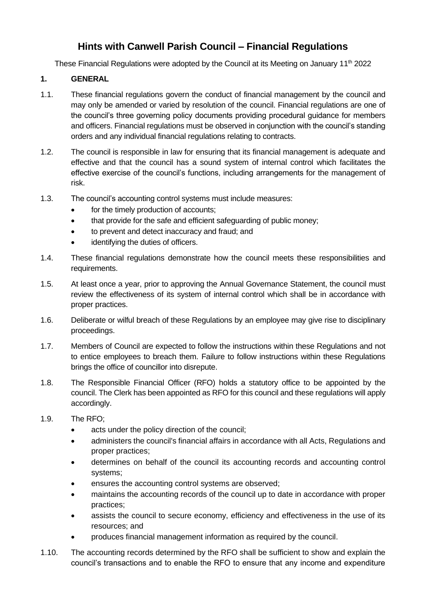# **Hints with Canwell Parish Council – Financial Regulations**

These Financial Regulations were adopted by the Council at its Meeting on January 11<sup>th</sup> 2022

## **1. GENERAL**

- 1.1. These financial regulations govern the conduct of financial management by the council and may only be amended or varied by resolution of the council. Financial regulations are one of the council's three governing policy documents providing procedural guidance for members and officers. Financial regulations must be observed in conjunction with the council's standing orders and any individual financial regulations relating to contracts.
- 1.2. The council is responsible in law for ensuring that its financial management is adequate and effective and that the council has a sound system of internal control which facilitates the effective exercise of the council's functions, including arrangements for the management of risk.
- 1.3. The council's accounting control systems must include measures:
	- for the timely production of accounts;
	- that provide for the safe and efficient safeguarding of public money;
	- to prevent and detect inaccuracy and fraud; and
	- identifying the duties of officers.
- 1.4. These financial regulations demonstrate how the council meets these responsibilities and requirements.
- 1.5. At least once a year, prior to approving the Annual Governance Statement, the council must review the effectiveness of its system of internal control which shall be in accordance with proper practices.
- 1.6. Deliberate or wilful breach of these Regulations by an employee may give rise to disciplinary proceedings.
- 1.7. Members of Council are expected to follow the instructions within these Regulations and not to entice employees to breach them. Failure to follow instructions within these Regulations brings the office of councillor into disrepute.
- 1.8. The Responsible Financial Officer (RFO) holds a statutory office to be appointed by the council. The Clerk has been appointed as RFO for this council and these regulations will apply accordingly.
- 1.9. The RFO;
	- acts under the policy direction of the council;
	- administers the council's financial affairs in accordance with all Acts, Regulations and proper practices;
	- determines on behalf of the council its accounting records and accounting control systems;
	- ensures the accounting control systems are observed;
	- maintains the accounting records of the council up to date in accordance with proper practices;
	- assists the council to secure economy, efficiency and effectiveness in the use of its resources; and
	- produces financial management information as required by the council.
- 1.10. The accounting records determined by the RFO shall be sufficient to show and explain the council's transactions and to enable the RFO to ensure that any income and expenditure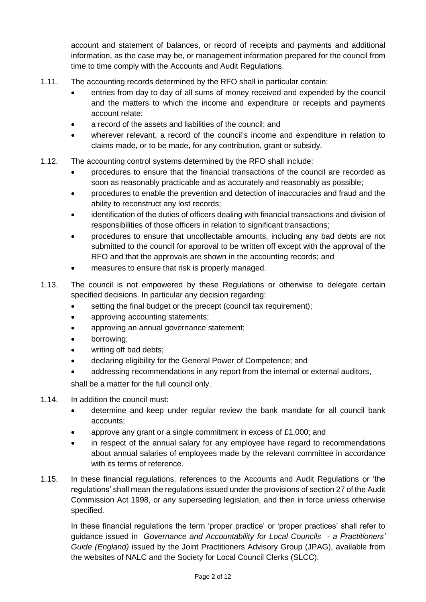account and statement of balances, or record of receipts and payments and additional information, as the case may be, or management information prepared for the council from time to time comply with the Accounts and Audit Regulations.

- 1.11. The accounting records determined by the RFO shall in particular contain:
	- entries from day to day of all sums of money received and expended by the council and the matters to which the income and expenditure or receipts and payments account relate;
	- a record of the assets and liabilities of the council; and
	- wherever relevant, a record of the council's income and expenditure in relation to claims made, or to be made, for any contribution, grant or subsidy.
- 1.12. The accounting control systems determined by the RFO shall include:
	- procedures to ensure that the financial transactions of the council are recorded as soon as reasonably practicable and as accurately and reasonably as possible;
	- procedures to enable the prevention and detection of inaccuracies and fraud and the ability to reconstruct any lost records;
	- identification of the duties of officers dealing with financial transactions and division of responsibilities of those officers in relation to significant transactions;
	- procedures to ensure that uncollectable amounts, including any bad debts are not submitted to the council for approval to be written off except with the approval of the RFO and that the approvals are shown in the accounting records; and
	- measures to ensure that risk is properly managed.
- 1.13. The council is not empowered by these Regulations or otherwise to delegate certain specified decisions. In particular any decision regarding:
	- setting the final budget or the precept (council tax requirement);
	- approving accounting statements;
	- approving an annual governance statement;
	- borrowing;
	- writing off bad debts:
	- declaring eligibility for the General Power of Competence; and
	- addressing recommendations in any report from the internal or external auditors,

shall be a matter for the full council only.

- 1.14. In addition the council must:
	- determine and keep under regular review the bank mandate for all council bank accounts;
	- approve any grant or a single commitment in excess of £1,000; and
	- in respect of the annual salary for any employee have regard to recommendations about annual salaries of employees made by the relevant committee in accordance with its terms of reference.
- 1.15. In these financial regulations, references to the Accounts and Audit Regulations or 'the regulations' shall mean the regulations issued under the provisions of section 27 of the Audit Commission Act 1998, or any superseding legislation, and then in force unless otherwise specified.

In these financial regulations the term 'proper practice' or 'proper practices' shall refer to guidance issued in *Governance and Accountability for Local Councils - a Practitioners' Guide (England)* issued by the Joint Practitioners Advisory Group (JPAG), available from the websites of NALC and the Society for Local Council Clerks (SLCC).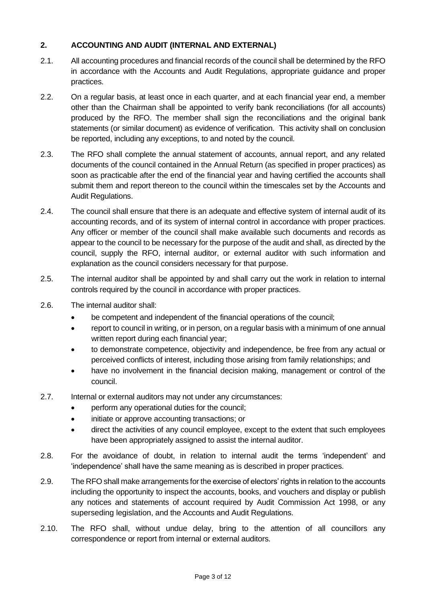#### **2. ACCOUNTING AND AUDIT (INTERNAL AND EXTERNAL)**

- 2.1. All accounting procedures and financial records of the council shall be determined by the RFO in accordance with the Accounts and Audit Regulations, appropriate guidance and proper practices.
- 2.2. On a regular basis, at least once in each quarter, and at each financial year end, a member other than the Chairman shall be appointed to verify bank reconciliations (for all accounts) produced by the RFO. The member shall sign the reconciliations and the original bank statements (or similar document) as evidence of verification. This activity shall on conclusion be reported, including any exceptions, to and noted by the council.
- 2.3. The RFO shall complete the annual statement of accounts, annual report, and any related documents of the council contained in the Annual Return (as specified in proper practices) as soon as practicable after the end of the financial year and having certified the accounts shall submit them and report thereon to the council within the timescales set by the Accounts and Audit Regulations.
- 2.4. The council shall ensure that there is an adequate and effective system of internal audit of its accounting records, and of its system of internal control in accordance with proper practices. Any officer or member of the council shall make available such documents and records as appear to the council to be necessary for the purpose of the audit and shall, as directed by the council, supply the RFO, internal auditor, or external auditor with such information and explanation as the council considers necessary for that purpose.
- 2.5. The internal auditor shall be appointed by and shall carry out the work in relation to internal controls required by the council in accordance with proper practices.
- 2.6. The internal auditor shall:
	- be competent and independent of the financial operations of the council;
	- report to council in writing, or in person, on a regular basis with a minimum of one annual written report during each financial year;
	- to demonstrate competence, objectivity and independence, be free from any actual or perceived conflicts of interest, including those arising from family relationships; and
	- have no involvement in the financial decision making, management or control of the council.
- 2.7. Internal or external auditors may not under any circumstances:
	- perform any operational duties for the council;
	- initiate or approve accounting transactions; or
	- direct the activities of any council employee, except to the extent that such employees have been appropriately assigned to assist the internal auditor.
- 2.8. For the avoidance of doubt, in relation to internal audit the terms 'independent' and 'independence' shall have the same meaning as is described in proper practices.
- 2.9. The RFO shall make arrangements for the exercise of electors' rights in relation to the accounts including the opportunity to inspect the accounts, books, and vouchers and display or publish any notices and statements of account required by Audit Commission Act 1998, or any superseding legislation, and the Accounts and Audit Regulations.
- 2.10. The RFO shall, without undue delay, bring to the attention of all councillors any correspondence or report from internal or external auditors.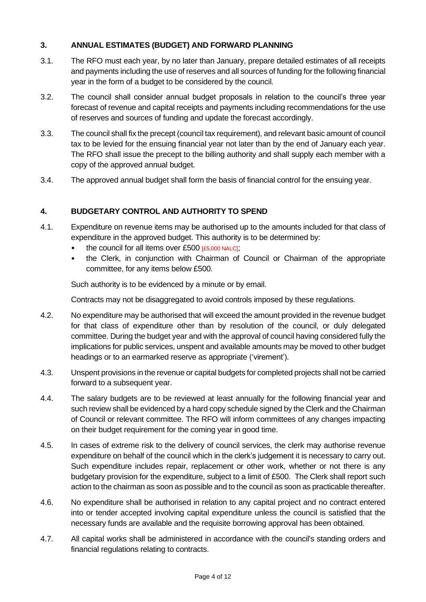## **3. ANNUAL ESTIMATES (BUDGET) AND FORWARD PLANNING**

- 3.1. The RFO must each year, by no later than January, prepare detailed estimates of all receipts and payments including the use of reserves and all sources of funding for the following financial year in the form of a budget to be considered by the council.
- 3.2. The council shall consider annual budget proposals in relation to the council's three year forecast of revenue and capital receipts and payments including recommendations for the use of reserves and sources of funding and update the forecast accordingly.
- 3.3. The council shall fix the precept (council tax requirement), and relevant basic amount of council tax to be levied for the ensuing financial year not later than by the end of January each year. The RFO shall issue the precept to the billing authority and shall supply each member with a copy of the approved annual budget.
- 3.4. The approved annual budget shall form the basis of financial control for the ensuing year.

## **4. BUDGETARY CONTROL AND AUTHORITY TO SPEND**

- 4.1. Expenditure on revenue items may be authorised up to the amounts included for that class of expenditure in the approved budget. This authority is to be determined by:
	- the council for all items over £500 [£5,000 NALC];
	- the Clerk, in conjunction with Chairman of Council or Chairman of the appropriate committee, for any items below £500.

Such authority is to be evidenced by a minute or by email.

Contracts may not be disaggregated to avoid controls imposed by these regulations.

- 4.2. No expenditure may be authorised that will exceed the amount provided in the revenue budget for that class of expenditure other than by resolution of the council, or duly delegated committee. During the budget year and with the approval of council having considered fully the implications for public services, unspent and available amounts may be moved to other budget headings or to an earmarked reserve as appropriate ('virement').
- 4.3. Unspent provisions in the revenue or capital budgets for completed projects shall not be carried forward to a subsequent year.
- 4.4. The salary budgets are to be reviewed at least annually for the following financial year and such review shall be evidenced by a hard copy schedule signed by the Clerk and the Chairman of Council or relevant committee. The RFO will inform committees of any changes impacting on their budget requirement for the coming year in good time.
- 4.5. In cases of extreme risk to the delivery of council services, the clerk may authorise revenue expenditure on behalf of the council which in the clerk's judgement it is necessary to carry out. Such expenditure includes repair, replacement or other work, whether or not there is any budgetary provision for the expenditure, subject to a limit of £500. The Clerk shall report such action to the chairman as soon as possible and to the council as soon as practicable thereafter.
- 4.6. No expenditure shall be authorised in relation to any capital project and no contract entered into or tender accepted involving capital expenditure unless the council is satisfied that the necessary funds are available and the requisite borrowing approval has been obtained.
- 4.7. All capital works shall be administered in accordance with the council's standing orders and financial regulations relating to contracts.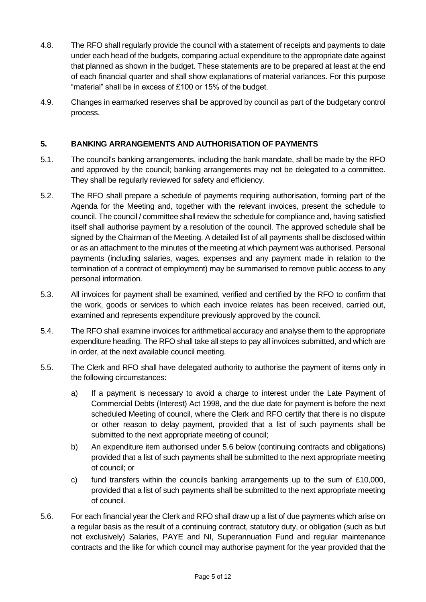- 4.8. The RFO shall regularly provide the council with a statement of receipts and payments to date under each head of the budgets, comparing actual expenditure to the appropriate date against that planned as shown in the budget. These statements are to be prepared at least at the end of each financial quarter and shall show explanations of material variances. For this purpose "material" shall be in excess of £100 or 15% of the budget.
- 4.9. Changes in earmarked reserves shall be approved by council as part of the budgetary control process.

#### **5. BANKING ARRANGEMENTS AND AUTHORISATION OF PAYMENTS**

- 5.1. The council's banking arrangements, including the bank mandate, shall be made by the RFO and approved by the council; banking arrangements may not be delegated to a committee. They shall be regularly reviewed for safety and efficiency.
- 5.2. The RFO shall prepare a schedule of payments requiring authorisation, forming part of the Agenda for the Meeting and, together with the relevant invoices, present the schedule to council. The council / committee shall review the schedule for compliance and, having satisfied itself shall authorise payment by a resolution of the council. The approved schedule shall be signed by the Chairman of the Meeting. A detailed list of all payments shall be disclosed within or as an attachment to the minutes of the meeting at which payment was authorised. Personal payments (including salaries, wages, expenses and any payment made in relation to the termination of a contract of employment) may be summarised to remove public access to any personal information.
- 5.3. All invoices for payment shall be examined, verified and certified by the RFO to confirm that the work, goods or services to which each invoice relates has been received, carried out, examined and represents expenditure previously approved by the council.
- 5.4. The RFO shall examine invoices for arithmetical accuracy and analyse them to the appropriate expenditure heading. The RFO shall take all steps to pay all invoices submitted, and which are in order, at the next available council meeting.
- 5.5. The Clerk and RFO shall have delegated authority to authorise the payment of items only in the following circumstances:
	- a) If a payment is necessary to avoid a charge to interest under the Late Payment of Commercial Debts (Interest) Act 1998, and the due date for payment is before the next scheduled Meeting of council, where the Clerk and RFO certify that there is no dispute or other reason to delay payment, provided that a list of such payments shall be submitted to the next appropriate meeting of council;
	- b) An expenditure item authorised under 5.6 below (continuing contracts and obligations) provided that a list of such payments shall be submitted to the next appropriate meeting of council; or
	- c) fund transfers within the councils banking arrangements up to the sum of  $£10,000$ , provided that a list of such payments shall be submitted to the next appropriate meeting of council.
- 5.6. For each financial year the Clerk and RFO shall draw up a list of due payments which arise on a regular basis as the result of a continuing contract, statutory duty, or obligation (such as but not exclusively) Salaries, PAYE and NI, Superannuation Fund and regular maintenance contracts and the like for which council may authorise payment for the year provided that the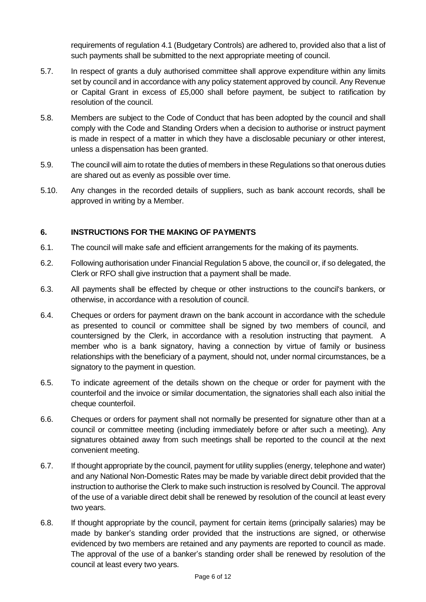requirements of regulation 4.1 (Budgetary Controls) are adhered to, provided also that a list of such payments shall be submitted to the next appropriate meeting of council.

- 5.7. In respect of grants a duly authorised committee shall approve expenditure within any limits set by council and in accordance with any policy statement approved by council. Any Revenue or Capital Grant in excess of £5,000 shall before payment, be subject to ratification by resolution of the council.
- 5.8. Members are subject to the Code of Conduct that has been adopted by the council and shall comply with the Code and Standing Orders when a decision to authorise or instruct payment is made in respect of a matter in which they have a disclosable pecuniary or other interest, unless a dispensation has been granted.
- 5.9. The council will aim to rotate the duties of members in these Regulations so that onerous duties are shared out as evenly as possible over time.
- 5.10. Any changes in the recorded details of suppliers, such as bank account records, shall be approved in writing by a Member.

## **6. INSTRUCTIONS FOR THE MAKING OF PAYMENTS**

- 6.1. The council will make safe and efficient arrangements for the making of its payments.
- 6.2. Following authorisation under Financial Regulation 5 above, the council or, if so delegated, the Clerk or RFO shall give instruction that a payment shall be made.
- 6.3. All payments shall be effected by cheque or other instructions to the council's bankers, or otherwise, in accordance with a resolution of council.
- 6.4. Cheques or orders for payment drawn on the bank account in accordance with the schedule as presented to council or committee shall be signed by two members of council, and countersigned by the Clerk, in accordance with a resolution instructing that payment. A member who is a bank signatory, having a connection by virtue of family or business relationships with the beneficiary of a payment, should not, under normal circumstances, be a signatory to the payment in question.
- 6.5. To indicate agreement of the details shown on the cheque or order for payment with the counterfoil and the invoice or similar documentation, the signatories shall each also initial the cheque counterfoil.
- 6.6. Cheques or orders for payment shall not normally be presented for signature other than at a council or committee meeting (including immediately before or after such a meeting). Any signatures obtained away from such meetings shall be reported to the council at the next convenient meeting.
- 6.7. If thought appropriate by the council, payment for utility supplies (energy, telephone and water) and any National Non-Domestic Rates may be made by variable direct debit provided that the instruction to authorise the Clerk to make such instruction is resolved by Council. The approval of the use of a variable direct debit shall be renewed by resolution of the council at least every two years.
- 6.8. If thought appropriate by the council, payment for certain items (principally salaries) may be made by banker's standing order provided that the instructions are signed, or otherwise evidenced by two members are retained and any payments are reported to council as made. The approval of the use of a banker's standing order shall be renewed by resolution of the council at least every two years.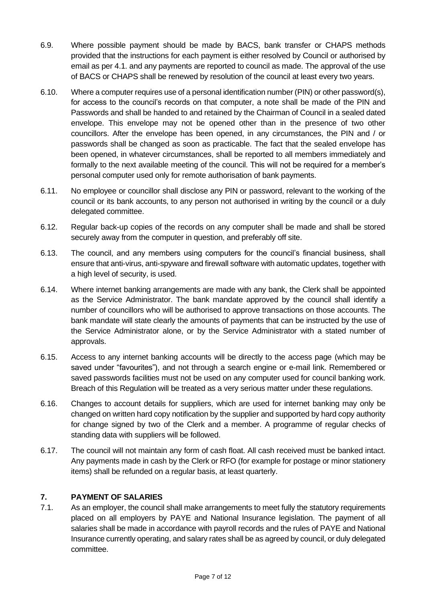- 6.9. Where possible payment should be made by BACS, bank transfer or CHAPS methods provided that the instructions for each payment is either resolved by Council or authorised by email as per 4.1. and any payments are reported to council as made. The approval of the use of BACS or CHAPS shall be renewed by resolution of the council at least every two years.
- 6.10. Where a computer requires use of a personal identification number (PIN) or other password(s), for access to the council's records on that computer, a note shall be made of the PIN and Passwords and shall be handed to and retained by the Chairman of Council in a sealed dated envelope. This envelope may not be opened other than in the presence of two other councillors. After the envelope has been opened, in any circumstances, the PIN and / or passwords shall be changed as soon as practicable. The fact that the sealed envelope has been opened, in whatever circumstances, shall be reported to all members immediately and formally to the next available meeting of the council. This will not be required for a member's personal computer used only for remote authorisation of bank payments.
- 6.11. No employee or councillor shall disclose any PIN or password, relevant to the working of the council or its bank accounts, to any person not authorised in writing by the council or a duly delegated committee.
- 6.12. Regular back-up copies of the records on any computer shall be made and shall be stored securely away from the computer in question, and preferably off site.
- 6.13. The council, and any members using computers for the council's financial business, shall ensure that anti-virus, anti-spyware and firewall software with automatic updates, together with a high level of security, is used.
- 6.14. Where internet banking arrangements are made with any bank, the Clerk shall be appointed as the Service Administrator. The bank mandate approved by the council shall identify a number of councillors who will be authorised to approve transactions on those accounts. The bank mandate will state clearly the amounts of payments that can be instructed by the use of the Service Administrator alone, or by the Service Administrator with a stated number of approvals.
- 6.15. Access to any internet banking accounts will be directly to the access page (which may be saved under "favourites"), and not through a search engine or e-mail link. Remembered or saved passwords facilities must not be used on any computer used for council banking work. Breach of this Regulation will be treated as a very serious matter under these regulations.
- 6.16. Changes to account details for suppliers, which are used for internet banking may only be changed on written hard copy notification by the supplier and supported by hard copy authority for change signed by two of the Clerk and a member. A programme of regular checks of standing data with suppliers will be followed.
- 6.17. The council will not maintain any form of cash float. All cash received must be banked intact. Any payments made in cash by the Clerk or RFO (for example for postage or minor stationery items) shall be refunded on a regular basis, at least quarterly.

#### **7. PAYMENT OF SALARIES**

7.1. As an employer, the council shall make arrangements to meet fully the statutory requirements placed on all employers by PAYE and National Insurance legislation. The payment of all salaries shall be made in accordance with payroll records and the rules of PAYE and National Insurance currently operating, and salary rates shall be as agreed by council, or duly delegated committee.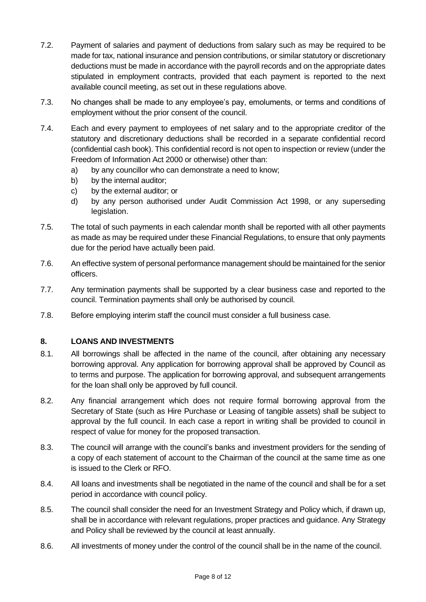- 7.2. Payment of salaries and payment of deductions from salary such as may be required to be made for tax, national insurance and pension contributions, or similar statutory or discretionary deductions must be made in accordance with the payroll records and on the appropriate dates stipulated in employment contracts, provided that each payment is reported to the next available council meeting, as set out in these regulations above.
- 7.3. No changes shall be made to any employee's pay, emoluments, or terms and conditions of employment without the prior consent of the council.
- 7.4. Each and every payment to employees of net salary and to the appropriate creditor of the statutory and discretionary deductions shall be recorded in a separate confidential record (confidential cash book). This confidential record is not open to inspection or review (under the Freedom of Information Act 2000 or otherwise) other than:
	- a) by any councillor who can demonstrate a need to know;
	- b) by the internal auditor;
	- c) by the external auditor; or
	- d) by any person authorised under Audit Commission Act 1998, or any superseding legislation.
- 7.5. The total of such payments in each calendar month shall be reported with all other payments as made as may be required under these Financial Regulations, to ensure that only payments due for the period have actually been paid.
- 7.6. An effective system of personal performance management should be maintained for the senior officers.
- 7.7. Any termination payments shall be supported by a clear business case and reported to the council. Termination payments shall only be authorised by council.
- 7.8. Before employing interim staff the council must consider a full business case.

#### **8. LOANS AND INVESTMENTS**

- 8.1. All borrowings shall be affected in the name of the council, after obtaining any necessary borrowing approval. Any application for borrowing approval shall be approved by Council as to terms and purpose. The application for borrowing approval, and subsequent arrangements for the loan shall only be approved by full council.
- 8.2. Any financial arrangement which does not require formal borrowing approval from the Secretary of State (such as Hire Purchase or Leasing of tangible assets) shall be subject to approval by the full council. In each case a report in writing shall be provided to council in respect of value for money for the proposed transaction.
- 8.3. The council will arrange with the council's banks and investment providers for the sending of a copy of each statement of account to the Chairman of the council at the same time as one is issued to the Clerk or RFO.
- 8.4. All loans and investments shall be negotiated in the name of the council and shall be for a set period in accordance with council policy.
- 8.5. The council shall consider the need for an Investment Strategy and Policy which, if drawn up, shall be in accordance with relevant regulations, proper practices and guidance. Any Strategy and Policy shall be reviewed by the council at least annually.
- 8.6. All investments of money under the control of the council shall be in the name of the council.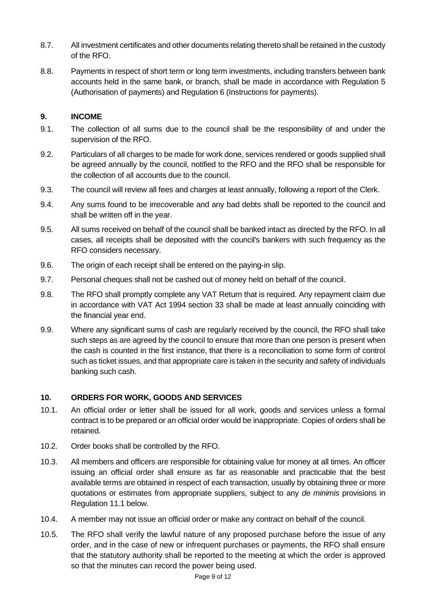- 8.7. All investment certificates and other documents relating thereto shall be retained in the custody of the RFO.
- 8.8. Payments in respect of short term or long term investments, including transfers between bank accounts held in the same bank, or branch, shall be made in accordance with Regulation 5 (Authorisation of payments) and Regulation 6 (Instructions for payments).

#### **9. INCOME**

- 9.1. The collection of all sums due to the council shall be the responsibility of and under the supervision of the RFO.
- 9.2. Particulars of all charges to be made for work done, services rendered or goods supplied shall be agreed annually by the council, notified to the RFO and the RFO shall be responsible for the collection of all accounts due to the council.
- 9.3. The council will review all fees and charges at least annually, following a report of the Clerk.
- 9.4. Any sums found to be irrecoverable and any bad debts shall be reported to the council and shall be written off in the year.
- 9.5. All sums received on behalf of the council shall be banked intact as directed by the RFO. In all cases, all receipts shall be deposited with the council's bankers with such frequency as the RFO considers necessary.
- 9.6. The origin of each receipt shall be entered on the paying-in slip.
- 9.7. Personal cheques shall not be cashed out of money held on behalf of the council.
- 9.8. The RFO shall promptly complete any VAT Return that is required. Any repayment claim due in accordance with VAT Act 1994 section 33 shall be made at least annually coinciding with the financial year end.
- 9.9. Where any significant sums of cash are regularly received by the council, the RFO shall take such steps as are agreed by the council to ensure that more than one person is present when the cash is counted in the first instance, that there is a reconciliation to some form of control such as ticket issues, and that appropriate care is taken in the security and safety of individuals banking such cash.

# **10. ORDERS FOR WORK, GOODS AND SERVICES**

- 10.1. An official order or letter shall be issued for all work, goods and services unless a formal contract is to be prepared or an official order would be inappropriate. Copies of orders shall be retained.
- 10.2. Order books shall be controlled by the RFO.
- 10.3. All members and officers are responsible for obtaining value for money at all times. An officer issuing an official order shall ensure as far as reasonable and practicable that the best available terms are obtained in respect of each transaction, usually by obtaining three or more quotations or estimates from appropriate suppliers, subject to any *de minimis* provisions in Regulation 11.1 below.
- 10.4. A member may not issue an official order or make any contract on behalf of the council.
- 10.5. The RFO shall verify the lawful nature of any proposed purchase before the issue of any order, and in the case of new or infrequent purchases or payments, the RFO shall ensure that the statutory authority shall be reported to the meeting at which the order is approved so that the minutes can record the power being used.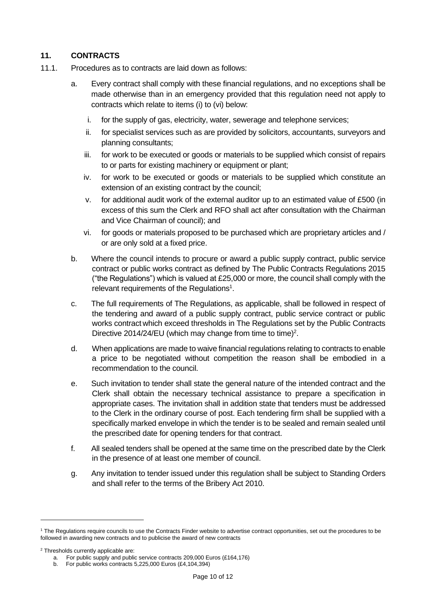#### **11. CONTRACTS**

- 11.1. Procedures as to contracts are laid down as follows:
	- a. Every contract shall comply with these financial regulations, and no exceptions shall be made otherwise than in an emergency provided that this regulation need not apply to contracts which relate to items (i) to (vi) below:
		- i. for the supply of gas, electricity, water, sewerage and telephone services;
		- ii. for specialist services such as are provided by solicitors, accountants, surveyors and planning consultants;
		- iii. for work to be executed or goods or materials to be supplied which consist of repairs to or parts for existing machinery or equipment or plant;
		- iv. for work to be executed or goods or materials to be supplied which constitute an extension of an existing contract by the council;
		- v. for additional audit work of the external auditor up to an estimated value of £500 (in excess of this sum the Clerk and RFO shall act after consultation with the Chairman and Vice Chairman of council); and
		- vi. for goods or materials proposed to be purchased which are proprietary articles and / or are only sold at a fixed price.
	- b. Where the council intends to procure or award a public supply contract, public service contract or public works contract as defined by The Public Contracts Regulations 2015 ("the Regulations") which is valued at  $£25,000$  or more, the council shall comply with the relevant requirements of the Regulations<sup>1</sup>.
	- c. The full requirements of The Regulations, as applicable, shall be followed in respect of the tendering and award of a public supply contract, public service contract or public works contract which exceed thresholds in The Regulations set by the Public Contracts Directive 2014/24/EU (which may change from time to time)<sup>2</sup>.
	- d. When applications are made to waive financial regulations relating to contracts to enable a price to be negotiated without competition the reason shall be embodied in a recommendation to the council.
	- e. Such invitation to tender shall state the general nature of the intended contract and the Clerk shall obtain the necessary technical assistance to prepare a specification in appropriate cases. The invitation shall in addition state that tenders must be addressed to the Clerk in the ordinary course of post. Each tendering firm shall be supplied with a specifically marked envelope in which the tender is to be sealed and remain sealed until the prescribed date for opening tenders for that contract.
	- f. All sealed tenders shall be opened at the same time on the prescribed date by the Clerk in the presence of at least one member of council.
	- g. Any invitation to tender issued under this regulation shall be subject to Standing Orders and shall refer to the terms of the Bribery Act 2010.

<sup>1</sup> The Regulations require councils to use the Contracts Finder website to advertise contract opportunities, set out the procedures to be followed in awarding new contracts and to publicise the award of new contracts

<sup>2</sup> Thresholds currently applicable are:

a. For public supply and public service contracts 209,000 Euros (£164,176)

b. For public works contracts 5,225,000 Euros (£4,104,394)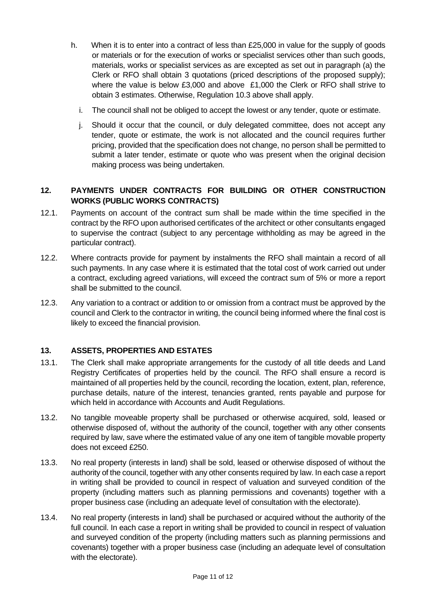- h. When it is to enter into a contract of less than £25,000 in value for the supply of goods or materials or for the execution of works or specialist services other than such goods, materials, works or specialist services as are excepted as set out in paragraph (a) the Clerk or RFO shall obtain 3 quotations (priced descriptions of the proposed supply); where the value is below £3,000 and above £1,000 the Clerk or RFO shall strive to obtain 3 estimates. Otherwise, Regulation 10.3 above shall apply.
	- i. The council shall not be obliged to accept the lowest or any tender, quote or estimate.
	- j. Should it occur that the council, or duly delegated committee, does not accept any tender, quote or estimate, the work is not allocated and the council requires further pricing, provided that the specification does not change, no person shall be permitted to submit a later tender, estimate or quote who was present when the original decision making process was being undertaken.

## **12. PAYMENTS UNDER CONTRACTS FOR BUILDING OR OTHER CONSTRUCTION WORKS (PUBLIC WORKS CONTRACTS)**

- 12.1. Payments on account of the contract sum shall be made within the time specified in the contract by the RFO upon authorised certificates of the architect or other consultants engaged to supervise the contract (subject to any percentage withholding as may be agreed in the particular contract).
- 12.2. Where contracts provide for payment by instalments the RFO shall maintain a record of all such payments. In any case where it is estimated that the total cost of work carried out under a contract, excluding agreed variations, will exceed the contract sum of 5% or more a report shall be submitted to the council.
- 12.3. Any variation to a contract or addition to or omission from a contract must be approved by the council and Clerk to the contractor in writing, the council being informed where the final cost is likely to exceed the financial provision.

# **13. ASSETS, PROPERTIES AND ESTATES**

- 13.1. The Clerk shall make appropriate arrangements for the custody of all title deeds and Land Registry Certificates of properties held by the council. The RFO shall ensure a record is maintained of all properties held by the council, recording the location, extent, plan, reference, purchase details, nature of the interest, tenancies granted, rents payable and purpose for which held in accordance with Accounts and Audit Regulations.
- 13.2. No tangible moveable property shall be purchased or otherwise acquired, sold, leased or otherwise disposed of, without the authority of the council, together with any other consents required by law, save where the estimated value of any one item of tangible movable property does not exceed £250.
- 13.3. No real property (interests in land) shall be sold, leased or otherwise disposed of without the authority of the council, together with any other consents required by law. In each case a report in writing shall be provided to council in respect of valuation and surveyed condition of the property (including matters such as planning permissions and covenants) together with a proper business case (including an adequate level of consultation with the electorate).
- 13.4. No real property (interests in land) shall be purchased or acquired without the authority of the full council. In each case a report in writing shall be provided to council in respect of valuation and surveyed condition of the property (including matters such as planning permissions and covenants) together with a proper business case (including an adequate level of consultation with the electorate).